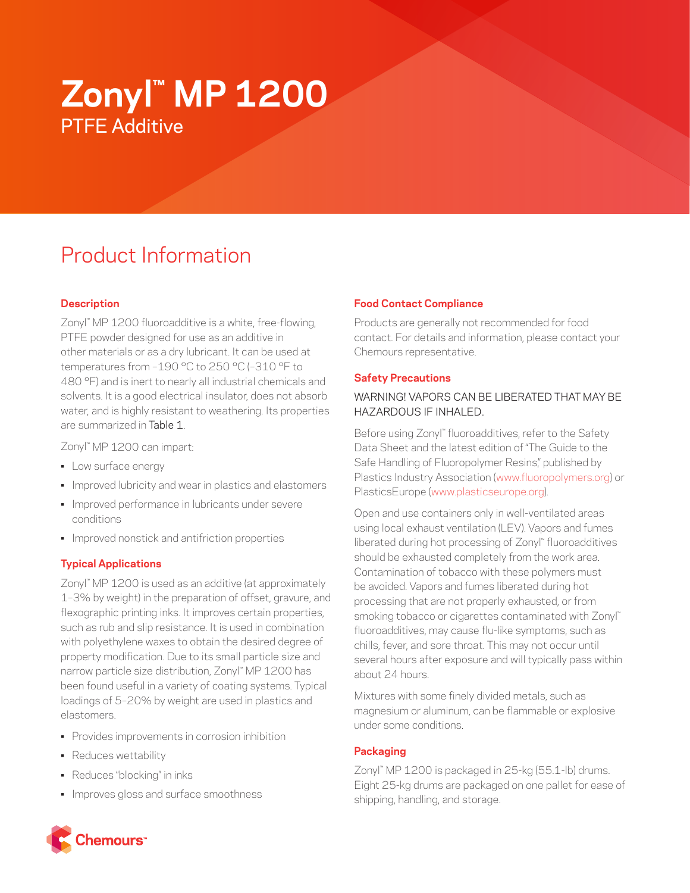# **Zonyl™ MP 1200** PTFE Additive

# Product Information

## **Description**

Zonyl™ MP 1200 fluoroadditive is a white, free-flowing, PTFE powder designed for use as an additive in other materials or as a dry lubricant. It can be used at temperatures from –190 °C to 250 °C (–310 °F to 480 °F) and is inert to nearly all industrial chemicals and solvents. It is a good electrical insulator, does not absorb water, and is highly resistant to weathering. Its properties are summarized in Table 1.

Zonyl™ MP 1200 can impart:

- Low surface energy
- Improved lubricity and wear in plastics and elastomers
- Improved performance in lubricants under severe conditions
- Improved nonstick and antifriction properties

#### **Typical Applications**

Zonyl™ MP 1200 is used as an additive (at approximately 1–3% by weight) in the preparation of offset, gravure, and flexographic printing inks. It improves certain properties, such as rub and slip resistance. It is used in combination with polyethylene waxes to obtain the desired degree of property modification. Due to its small particle size and narrow particle size distribution, Zonyl™ MP 1200 has been found useful in a variety of coating systems. Typical loadings of 5–20% by weight are used in plastics and elastomers.

- Provides improvements in corrosion inhibition
- Reduces wettability
- Reduces "blocking" in inks
- Improves gloss and surface smoothness

## **Food Contact Compliance**

Products are generally not recommended for food contact. For details and information, please contact your Chemours representative.

#### **Safety Precautions**

#### WARNING! VAPORS CAN BE LIBERATED THAT MAY BE HAZARDOUS IF INHALED.

Before using Zonyl™ fluoroadditives, refer to the Safety Data Sheet and the latest edition of "The Guide to the Safe Handling of Fluoropolymer Resins," published by Plastics Industry Association [\(www.fluoropolymers.org](http://www.fluoropolymers.org)) or PlasticsEurope ([www.plasticseurope.org](http://www.plasticseurope.org)).

Open and use containers only in well-ventilated areas using local exhaust ventilation (LEV). Vapors and fumes liberated during hot processing of Zonyl™ fluoroadditives should be exhausted completely from the work area. Contamination of tobacco with these polymers must be avoided. Vapors and fumes liberated during hot processing that are not properly exhausted, or from smoking tobacco or cigarettes contaminated with Zonyl™ fluoroadditives, may cause flu-like symptoms, such as chills, fever, and sore throat. This may not occur until several hours after exposure and will typically pass within about 24 hours.

Mixtures with some finely divided metals, such as magnesium or aluminum, can be flammable or explosive under some conditions.

#### **Packaging**

Zonyl™ MP 1200 is packaged in 25-kg (55.1-lb) drums. Eight 25-kg drums are packaged on one pallet for ease of shipping, handling, and storage.